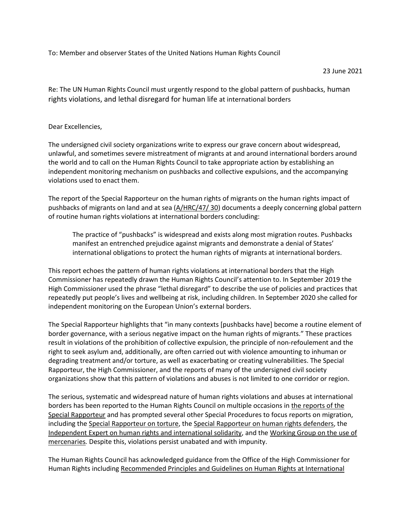To: Member and observer States of the United Nations Human Rights Council

## 23 June 2021

Re: The UN Human Rights Council must urgently respond to the global pattern of pushbacks, human rights violations, and lethal disregard for human life at international borders

## Dear Excellencies,

The undersigned civil society organizations write to express our grave concern about widespread, unlawful, and sometimes severe mistreatment of migrants at and around international borders around the world and to call on the Human Rights Council to take appropriate action by establishing an independent monitoring mechanism on pushbacks and collective expulsions, and the accompanying violations used to enact them.

The report of the Special Rapporteur on the human rights of migrants on the human rights impact of pushbacks of migrants on land and at sea [\(A/HRC/47/ 30\)](https://undocs.org/A/HRC/47/30) documents a deeply concerning global pattern of routine human rights violations at international borders concluding:

The practice of "pushbacks" is widespread and exists along most migration routes. Pushbacks manifest an entrenched prejudice against migrants and demonstrate a denial of States' international obligations to protect the human rights of migrants at international borders.

This report echoes the pattern of human rights violations at international borders that the High Commissioner has repeatedly drawn the Human Rights Council's attention to. In September 2019 the High Commissioner used the phrase "lethal disregard" to describe the use of policies and practices that repeatedly put people's lives and wellbeing at risk, including children. In September 2020 she called for independent monitoring on the European Union's external borders.

The Special Rapporteur highlights that "in many contexts [pushbacks have] become a routine element of border governance, with a serious negative impact on the human rights of migrants." These practices result in violations of the prohibition of collective expulsion, the principle of non-refoulement and the right to seek asylum and, additionally, are often carried out with violence amounting to inhuman or degrading treatment and/or torture, as well as exacerbating or creating vulnerabilities. The Special Rapporteur, the High Commissioner, and the reports of many of the undersigned civil society organizations show that this pattern of violations and abuses is not limited to one corridor or region.

The serious, systematic and widespread nature of human rights violations and abuses at international borders has been reported to the Human Rights Council on multiple occasions in [the reports of the](https://www.ohchr.org/EN/Issues/Migration/SRMigrants/Pages/AnnualReports.aspx)  [Special Rapporteur](https://www.ohchr.org/EN/Issues/Migration/SRMigrants/Pages/AnnualReports.aspx) and has prompted several other Special Procedures to focus reports on migration, including the [Special Rapporteur on torture,](https://documents-dds-ny.un.org/doc/UNDOC/GEN/G18/347/27/PDF/G1834727.pdf?OpenElement) th[e Special Rapporteur on human rights defenders,](https://documents-dds-ny.un.org/doc/UNDOC/GEN/G18/008/51/PDF/G1800851.pdf?OpenElement) the [Independent Expert on human rights and international solidarity,](https://documents-dds-ny.un.org/doc/UNDOC/GEN/G19/108/84/PDF/G1910884.pdf?OpenElement) and the [Working Group on the use of](https://undocs.org/A/HRC/45/9)  [mercenaries](https://undocs.org/A/HRC/45/9)*.* Despite this, violations persist unabated and with impunity.

The Human Rights Council has acknowledged guidance from the Office of the High Commissioner for Human Rights including [Recommended Principles and Guidelines on Human Rights at International](https://www.ohchr.org/Documents/Issues/Migration/OHCHR_Recommended_Principles_Guidelines.pdf)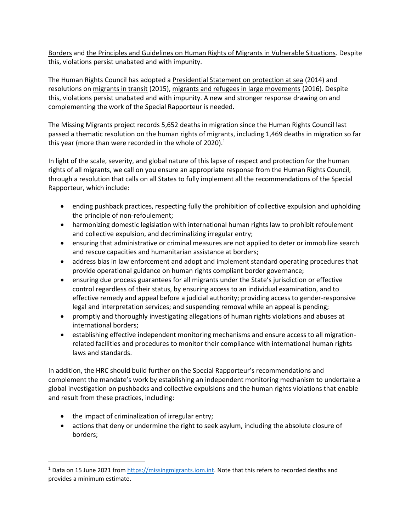[Borders](https://www.ohchr.org/Documents/Issues/Migration/OHCHR_Recommended_Principles_Guidelines.pdf) and [the Principles and Guidelines on Human Rights of Migrants in Vulnerable Situations.](https://www.ohchr.org/Documents/Issues/Migration/PrinciplesAndGuidelines.pdf) Despite this, violations persist unabated and with impunity.

The Human Rights Council has adopted a [Presidential Statement on protection at sea](https://www.right-docs.org/doc/a-hrc-prst-27-3/) (2014) and resolutions o[n migrants in transit](https://ap.ohchr.org/documents/dpage_e.aspx?si=A%2FHRC%2FRES%2F29%2F2) (2015), [migrants and refugees in large movements](https://ap.ohchr.org/documents/dpage_e.aspx?si=A%2FHRC%2FRES%2F32%2F14) (2016). Despite this, violations persist unabated and with impunity. A new and stronger response drawing on and complementing the work of the Special Rapporteur is needed.

The Missing Migrants project records 5,652 deaths in migration since the Human Rights Council last passed a thematic resolution on the human rights of migrants, including 1,469 deaths in migration so far this year (more than were recorded in the whole of 2020). $1$ 

In light of the scale, severity, and global nature of this lapse of respect and protection for the human rights of all migrants, we call on you ensure an appropriate response from the Human Rights Council, through a resolution that calls on all States to fully implement all the recommendations of the Special Rapporteur, which include:

- ending pushback practices, respecting fully the prohibition of collective expulsion and upholding the principle of non-refoulement;
- harmonizing domestic legislation with international human rights law to prohibit refoulement and collective expulsion, and decriminalizing irregular entry;
- ensuring that administrative or criminal measures are not applied to deter or immobilize search and rescue capacities and humanitarian assistance at borders;
- address bias in law enforcement and adopt and implement standard operating procedures that provide operational guidance on human rights compliant border governance;
- ensuring due process guarantees for all migrants under the State's jurisdiction or effective control regardless of their status, by ensuring access to an individual examination, and to effective remedy and appeal before a judicial authority; providing access to gender-responsive legal and interpretation services; and suspending removal while an appeal is pending;
- promptly and thoroughly investigating allegations of human rights violations and abuses at international borders;
- establishing effective independent monitoring mechanisms and ensure access to all migrationrelated facilities and procedures to monitor their compliance with international human rights laws and standards.

In addition, the HRC should build further on the Special Rapporteur's recommendations and complement the mandate's work by establishing an independent monitoring mechanism to undertake a global investigation on pushbacks and collective expulsions and the human rights violations that enable and result from these practices, including:

- the impact of criminalization of irregular entry;
- actions that deny or undermine the right to seek asylum, including the absolute closure of borders;

 $1$  Data on 15 June 2021 from [https://missingmigrants.iom.int.](https://missingmigrants.iom.int/) Note that this refers to recorded deaths and provides a minimum estimate.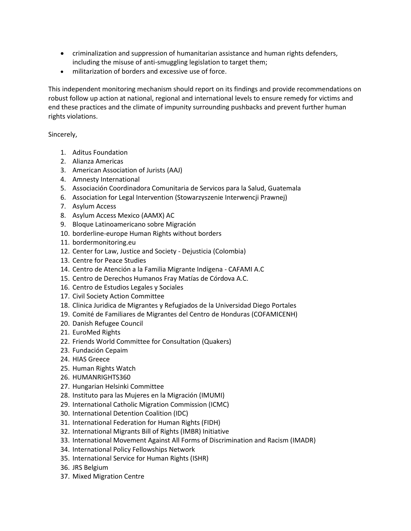- criminalization and suppression of humanitarian assistance and human rights defenders, including the misuse of anti-smuggling legislation to target them;
- militarization of borders and excessive use of force.

This independent monitoring mechanism should report on its findings and provide recommendations on robust follow up action at national, regional and international levels to ensure remedy for victims and end these practices and the climate of impunity surrounding pushbacks and prevent further human rights violations.

## Sincerely,

- 1. Aditus Foundation
- 2. Alianza Americas
- 3. American Association of Jurists (AAJ)
- 4. Amnesty International
- 5. Associación Coordinadora Comunitaria de Servicos para la Salud, Guatemala
- 6. Association for Legal Intervention (Stowarzyszenie Interwencji Prawnej)
- 7. Asylum Access
- 8. Asylum Access Mexico (AAMX) AC
- 9. Bloque Latinoamericano sobre Migración
- 10. borderline-europe Human Rights without borders
- 11. bordermonitoring.eu
- 12. Center for Law, Justice and Society Dejusticia (Colombia)
- 13. Centre for Peace Studies
- 14. Centro de Atención a la Familia Migrante Indígena CAFAMI A.C
- 15. Centro de Derechos Humanos Fray Matías de Córdova A.C.
- 16. Centro de Estudios Legales y Sociales
- 17. Civil Society Action Committee
- 18. Clinica Juridica de Migrantes y Refugiados de la Universidad Diego Portales
- 19. Comité de Familiares de Migrantes del Centro de Honduras (COFAMICENH)
- 20. Danish Refugee Council
- 21. EuroMed Rights
- 22. Friends World Committee for Consultation (Quakers)
- 23. Fundación Cepaim
- 24. HIAS Greece
- 25. Human Rights Watch
- 26. HUMANRIGHTS360
- 27. Hungarian Helsinki Committee
- 28. Instituto para las Mujeres en la Migración (IMUMI)
- 29. International Catholic Migration Commission (ICMC)
- 30. International Detention Coalition (IDC)
- 31. International Federation for Human Rights (FIDH)
- 32. International Migrants Bill of Rights (IMBR) Initiative
- 33. International Movement Against All Forms of Discrimination and Racism (IMADR)
- 34. International Policy Fellowships Network
- 35. International Service for Human Rights (ISHR)
- 36. JRS Belgium
- 37. Mixed Migration Centre